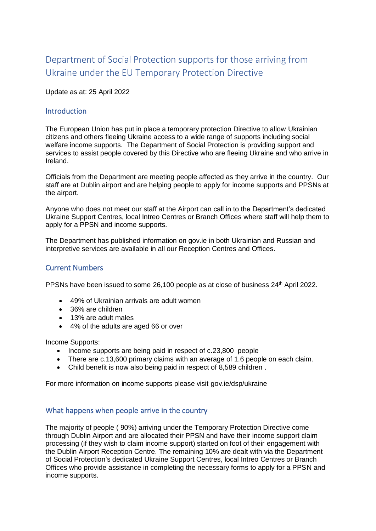# Department of Social Protection supports for those arriving from Ukraine under the EU Temporary Protection Directive

Update as at: 25 April 2022

# **Introduction**

The European Union has put in place a temporary protection Directive to allow Ukrainian citizens and others fleeing Ukraine access to a wide range of supports including social welfare income supports. The Department of Social Protection is providing support and services to assist people covered by this Directive who are fleeing Ukraine and who arrive in Ireland.

Officials from the Department are meeting people affected as they arrive in the country. Our staff are at Dublin airport and are helping people to apply for income supports and PPSNs at the airport.

Anyone who does not meet our staff at the Airport can call in to the Department's dedicated Ukraine Support Centres, local Intreo Centres or Branch Offices where staff will help them to apply for a PPSN and income supports.

The Department has published information on gov.ie in both Ukrainian and Russian and interpretive services are available in all our Reception Centres and Offices.

### Current Numbers

PPSNs have been issued to some 26,100 people as at close of business 24<sup>th</sup> April 2022.

- 49% of Ukrainian arrivals are adult women
- 36% are children
- 13% are adult males
- 4% of the adults are aged 66 or over

Income Supports:

- Income supports are being paid in respect of c.23,800 people
- There are c.13,600 primary claims with an average of 1.6 people on each claim.
- Child benefit is now also being paid in respect of 8,589 children .

For more information on income supports please visit gov.ie/dsp/ukraine

# What happens when people arrive in the country

The majority of people ( 90%) arriving under the Temporary Protection Directive come through Dublin Airport and are allocated their PPSN and have their income support claim processing (if they wish to claim income support) started on foot of their engagement with the Dublin Airport Reception Centre. The remaining 10% are dealt with via the Department of Social Protection's dedicated Ukraine Support Centres, local Intreo Centres or Branch Offices who provide assistance in completing the necessary forms to apply for a PPSN and income supports.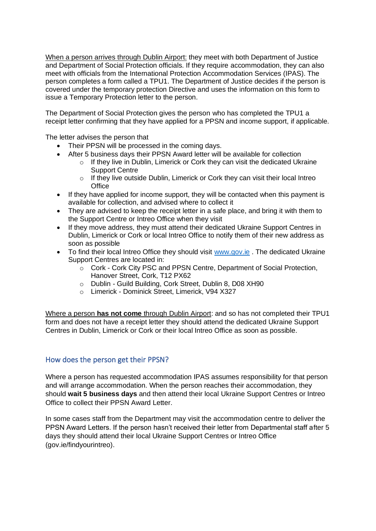When a person arrives through Dublin Airport: they meet with both Department of Justice and Department of Social Protection officials. If they require accommodation, they can also meet with officials from the International Protection Accommodation Services (IPAS). The person completes a form called a TPU1. The Department of Justice decides if the person is covered under the temporary protection Directive and uses the information on this form to issue a Temporary Protection letter to the person.

The Department of Social Protection gives the person who has completed the TPU1 a receipt letter confirming that they have applied for a PPSN and income support, if applicable.

The letter advises the person that

- Their PPSN will be processed in the coming days.
- After 5 business days their PPSN Award letter will be available for collection
	- o If they live in Dublin, Limerick or Cork they can visit the dedicated Ukraine Support Centre
	- $\circ$  If they live outside Dublin, Limerick or Cork they can visit their local Intreo **Office**
- If they have applied for income support, they will be contacted when this payment is available for collection, and advised where to collect it
- They are advised to keep the receipt letter in a safe place, and bring it with them to the Support Centre or Intreo Office when they visit
- If they move address, they must attend their dedicated Ukraine Support Centres in Dublin, Limerick or Cork or local Intreo Office to notify them of their new address as soon as possible
- To find their local Intreo Office they should visit [www.gov.ie](http://www.gov.ie/). The dedicated Ukraine Support Centres are located in:
	- o Cork Cork City PSC and PPSN Centre, Department of Social Protection, Hanover Street, Cork, T12 PX62
	- o Dublin Guild Building, Cork Street, Dublin 8, D08 XH90
	- o Limerick Dominick Street, Limerick, V94 X327

Where a person **has not come** through Dublin Airport: and so has not completed their TPU1 form and does not have a receipt letter they should attend the dedicated Ukraine Support Centres in Dublin, Limerick or Cork or their local Intreo Office as soon as possible.

### How does the person get their PPSN?

Where a person has requested accommodation IPAS assumes responsibility for that person and will arrange accommodation. When the person reaches their accommodation, they should **wait 5 business days** and then attend their local Ukraine Support Centres or Intreo Office to collect their PPSN Award Letter.

In some cases staff from the Department may visit the accommodation centre to deliver the PPSN Award Letters. If the person hasn't received their letter from Departmental staff after 5 days they should attend their local Ukraine Support Centres or Intreo Office (gov.ie/findyourintreo).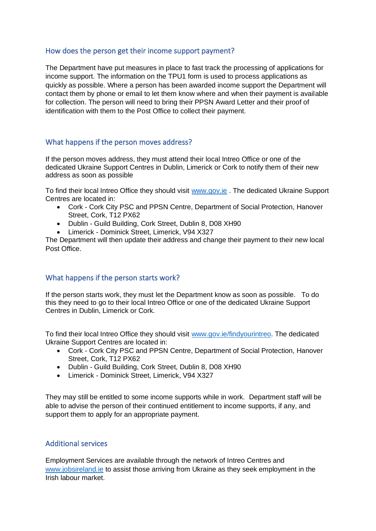#### How does the person get their income support payment?

The Department have put measures in place to fast track the processing of applications for income support. The information on the TPU1 form is used to process applications as quickly as possible. Where a person has been awarded income support the Department will contact them by phone or email to let them know where and when their payment is available for collection. The person will need to bring their PPSN Award Letter and their proof of identification with them to the Post Office to collect their payment.

### What happens if the person moves address?

If the person moves address, they must attend their local Intreo Office or one of the dedicated Ukraine Support Centres in Dublin, Limerick or Cork to notify them of their new address as soon as possible

To find their local Intreo Office they should visit [www.gov.ie](http://www.gov.ie/) . The dedicated Ukraine Support Centres are located in:

- Cork Cork City PSC and PPSN Centre, Department of Social Protection, Hanover Street, Cork, T12 PX62
- Dublin Guild Building, Cork Street, Dublin 8, D08 XH90
- Limerick Dominick Street, Limerick, V94 X327

The Department will then update their address and change their payment to their new local Post Office.

#### What happens if the person starts work?

If the person starts work, they must let the Department know as soon as possible. To do this they need to go to their local Intreo Office or one of the dedicated Ukraine Support Centres in Dublin, Limerick or Cork.

To find their local Intreo Office they should visit [www.gov.ie/](http://www.gov.ie/)findyourintreo. The dedicated Ukraine Support Centres are located in:

- Cork Cork City PSC and PPSN Centre, Department of Social Protection, Hanover Street, Cork, T12 PX62
- Dublin Guild Building, Cork Street, Dublin 8, D08 XH90
- Limerick Dominick Street, Limerick, V94 X327

They may still be entitled to some income supports while in work. Department staff will be able to advise the person of their continued entitlement to income supports, if any, and support them to apply for an appropriate payment.

#### Additional services

Employment Services are available through the network of Intreo Centres and [www.jobsireland.ie](http://www.jobsireland.ie/) to assist those arriving from Ukraine as they seek employment in the Irish labour market.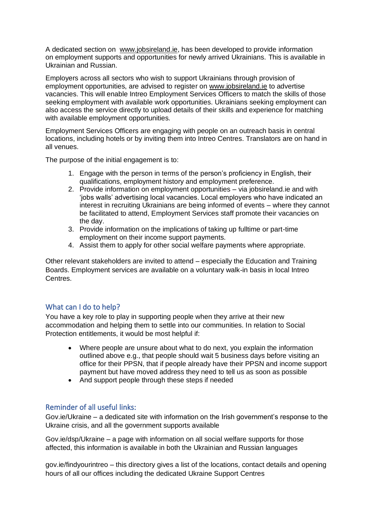A dedicated section on [www.jobsireland.ie,](http://www.jobsireland.ie/) has been developed to provide information on employment supports and opportunities for newly arrived Ukrainians. This is available in Ukrainian and Russian.

Employers across all sectors who wish to support Ukrainians through provision of employment opportunities, are advised to register on [www.jobsireland.ie](http://www.jobsireland.ie/) to advertise vacancies. This will enable Intreo Employment Services Officers to match the skills of those seeking employment with available work opportunities. Ukrainians seeking employment can also access the service directly to upload details of their skills and experience for matching with available employment opportunities.

Employment Services Officers are engaging with people on an outreach basis in central locations, including hotels or by inviting them into Intreo Centres. Translators are on hand in all venues.

The purpose of the initial engagement is to:

- 1. Engage with the person in terms of the person's proficiency in English, their qualifications, employment history and employment preference.
- 2. Provide information on employment opportunities via jobsireland.ie and with 'jobs walls' advertising local vacancies. Local employers who have indicated an interest in recruiting Ukrainians are being informed of events – where they cannot be facilitated to attend, Employment Services staff promote their vacancies on the day.
- 3. Provide information on the implications of taking up fulltime or part-time employment on their income support payments.
- 4. Assist them to apply for other social welfare payments where appropriate.

Other relevant stakeholders are invited to attend – especially the Education and Training Boards. Employment services are available on a voluntary walk-in basis in local Intreo Centres.

### What can I do to help?

You have a key role to play in supporting people when they arrive at their new accommodation and helping them to settle into our communities. In relation to Social Protection entitlements, it would be most helpful if:

- Where people are unsure about what to do next, you explain the information outlined above e.g., that people should wait 5 business days before visiting an office for their PPSN, that if people already have their PPSN and income support payment but have moved address they need to tell us as soon as possible
- And support people through these steps if needed

### Reminder of all useful links:

Gov.ie/Ukraine – a dedicated site with information on the Irish government's response to the Ukraine crisis, and all the government supports available

Gov.ie/dsp/Ukraine – a page with information on all social welfare supports for those affected, this information is available in both the Ukrainian and Russian languages

gov.ie/findyourintreo – this directory gives a list of the locations, contact details and opening hours of all our offices including the dedicated Ukraine Support Centres